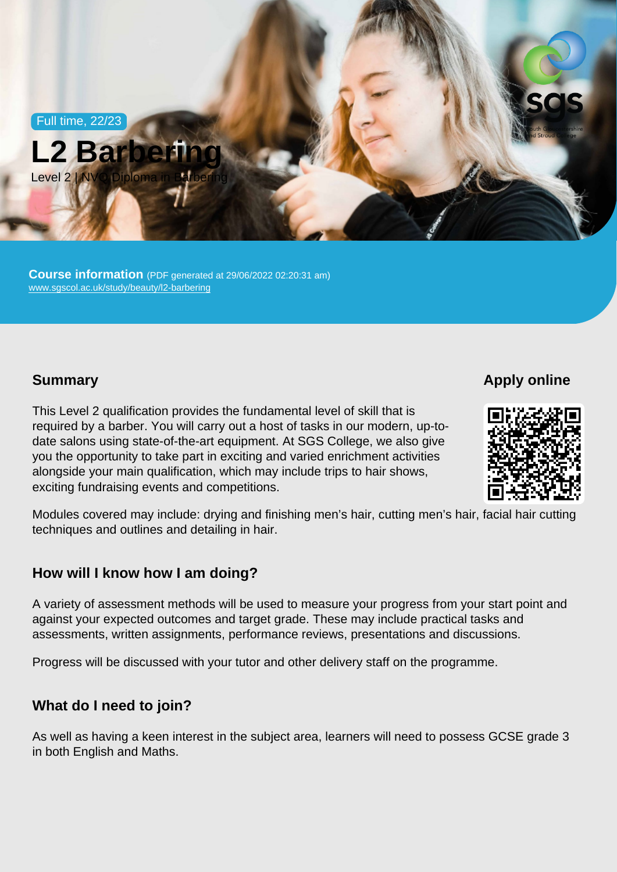Full time, 22/23



Course information (PDF generated at 29/06/2022 02:20:31 am) [www.sgscol.ac.uk/study/beauty/l2-barbering](https://www.sgscol.ac.uk/study/beauty/l2-barbering)

**Summary** 

Apply online

This Level 2 qualification provides the fundamental level of skill that is required by a barber. You will carry out a host of tasks in our modern, up-todate salons using state-of-the-art equipment. At SGS College, we also give you the opportunity to take part in exciting and varied enrichment activities alongside your main qualification, which may include trips to hair shows, exciting fundraising events and competitions.

Modules covered may include: drying and finishing men's hair, cutting men's hair, facial hair cutting techniques and outlines and detailing in hair.

How will I know how I am doing?

A variety of assessment methods will be used to measure your progress from your start point and against your expected outcomes and target grade. These may include practical tasks and assessments, written assignments, performance reviews, presentations and discussions.

Progress will be discussed with your tutor and other delivery staff on the programme.

What do I need to join?

As well as having a keen interest in the subject area, learners will need to possess GCSE grade 3 in both English and Maths.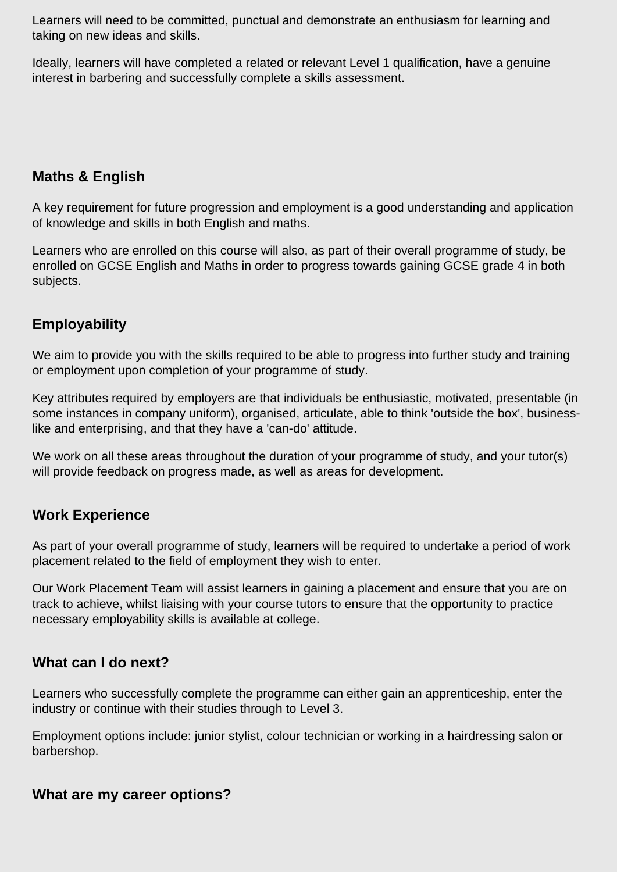Learners will need to be committed, punctual and demonstrate an enthusiasm for learning and taking on new ideas and skills.

Ideally, learners will have completed a related or relevant Level 1 qualification, have a genuine interest in barbering and successfully complete a skills assessment.

## **Maths & English**

A key requirement for future progression and employment is a good understanding and application of knowledge and skills in both English and maths.

Learners who are enrolled on this course will also, as part of their overall programme of study, be enrolled on GCSE English and Maths in order to progress towards gaining GCSE grade 4 in both subjects.

# **Employability**

We aim to provide you with the skills required to be able to progress into further study and training or employment upon completion of your programme of study.

Key attributes required by employers are that individuals be enthusiastic, motivated, presentable (in some instances in company uniform), organised, articulate, able to think 'outside the box', businesslike and enterprising, and that they have a 'can-do' attitude.

We work on all these areas throughout the duration of your programme of study, and your tutor(s) will provide feedback on progress made, as well as areas for development.

#### **Work Experience**

As part of your overall programme of study, learners will be required to undertake a period of work placement related to the field of employment they wish to enter.

Our Work Placement Team will assist learners in gaining a placement and ensure that you are on track to achieve, whilst liaising with your course tutors to ensure that the opportunity to practice necessary employability skills is available at college.

### **What can I do next?**

Learners who successfully complete the programme can either gain an apprenticeship, enter the industry or continue with their studies through to Level 3.

Employment options include: junior stylist, colour technician or working in a hairdressing salon or barbershop.

#### **What are my career options?**